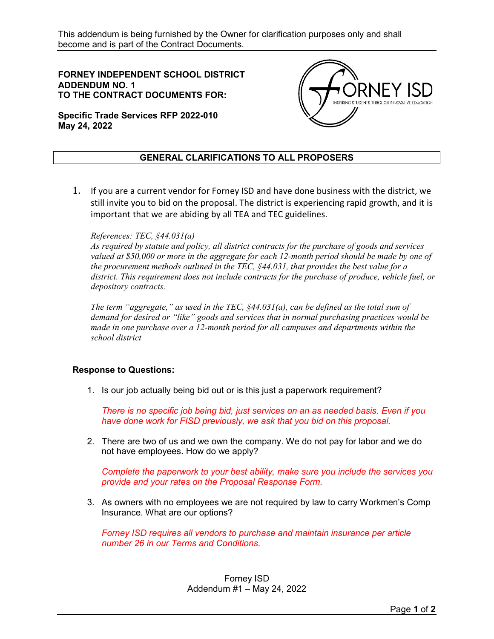**FORNEY INDEPENDENT SCHOOL DISTRICT ADDENDUM NO. 1 TO THE CONTRACT DOCUMENTS FOR:** 



**Specific Trade Services RFP 2022-010 May 24, 2022**

## **GENERAL CLARIFICATIONS TO ALL PROPOSERS**

1. If you are a current vendor for Forney ISD and have done business with the district, we still invite you to bid on the proposal. The district is experiencing rapid growth, and it is important that we are abiding by all TEA and TEC guidelines.

## *References: TEC, §44.031(a)*

*As required by statute and policy, all district contracts for the purchase of goods and services valued at \$50,000 or more in the aggregate for each 12-month period should be made by one of the procurement methods outlined in the TEC, §44.031, that provides the best value for a district. This requirement does not include contracts for the purchase of produce, vehicle fuel, or depository contracts.*

*The term "aggregate," as used in the TEC, §44.031(a), can be defined as the total sum of demand for desired or "like" goods and services that in normal purchasing practices would be made in one purchase over a 12-month period for all campuses and departments within the school district*

## **Response to Questions:**

1. Is our job actually being bid out or is this just a paperwork requirement?

*There is no specific job being bid, just services on an as needed basis. Even if you have done work for FISD previously, we ask that you bid on this proposal.* 

2. There are two of us and we own the company. We do not pay for labor and we do not have employees. How do we apply?

*Complete the paperwork to your best ability, make sure you include the services you provide and your rates on the Proposal Response Form.*

3. As owners with no employees we are not required by law to carry Workmen's Comp Insurance. What are our options?

*Forney ISD requires all vendors to purchase and maintain insurance per article number 26 in our Terms and Conditions.*